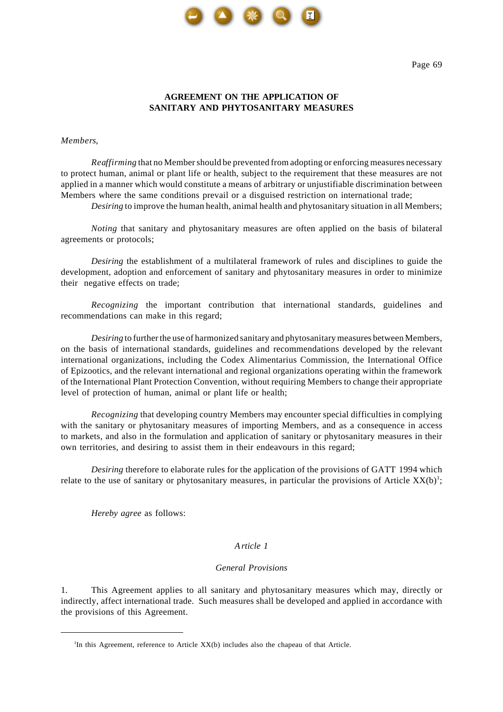

# **AGREEMENT ON THE APPLICATION OF SANITARY AND PHYTOSANITARY MEASURES**

### *Members*,

*Reaffirming* that no Member should be prevented from adopting or enforcing measures necessary to protect human, animal or plant life or health, subject to the requirement that these measures are not applied in a manner which would constitute a means of arbitrary or unjustifiable discrimination between Members where the same conditions prevail or a disguised restriction on international trade;

*Desiring* to improve the human health, animal health and phytosanitary situation in all Members;

*Noting* that sanitary and phytosanitary measures are often applied on the basis of bilateral agreements or protocols;

*Desiring* the establishment of a multilateral framework of rules and disciplines to guide the development, adoption and enforcement of sanitary and phytosanitary measures in order to minimize their negative effects on trade;

*Recognizing* the important contribution that international standards, guidelines and recommendations can make in this regard;

*Desiring* to further the use of harmonized sanitary and phytosanitary measures between Members, on the basis of international standards, guidelines and recommendations developed by the relevant international organizations, including the Codex Alimentarius Commission, the International Office of Epizootics, and the relevant international and regional organizations operating within the framework of the International Plant Protection Convention, without requiring Members to change their appropriate level of protection of human, animal or plant life or health;

*Recognizing* that developing country Members may encounter special difficulties in complying with the sanitary or phytosanitary measures of importing Members, and as a consequence in access to markets, and also in the formulation and application of sanitary or phytosanitary measures in their own territories, and desiring to assist them in their endeavours in this regard;

*Desiring* therefore to elaborate rules for the application of the provisions of GATT 1994 which relate to the use of sanitary or phytosanitary measures, in particular the provisions of Article  $XX(b)^1$ ;

*Hereby agree* as follows:

 $\overline{a}$ 

#### *Article 1*

### *General Provisions*

1. This Agreement applies to all sanitary and phytosanitary measures which may, directly or indirectly, affect international trade. Such measures shall be developed and applied in accordance with the provisions of this Agreement.

<sup>&</sup>lt;sup>1</sup>In this Agreement, reference to Article  $XX(b)$  includes also the chapeau of that Article.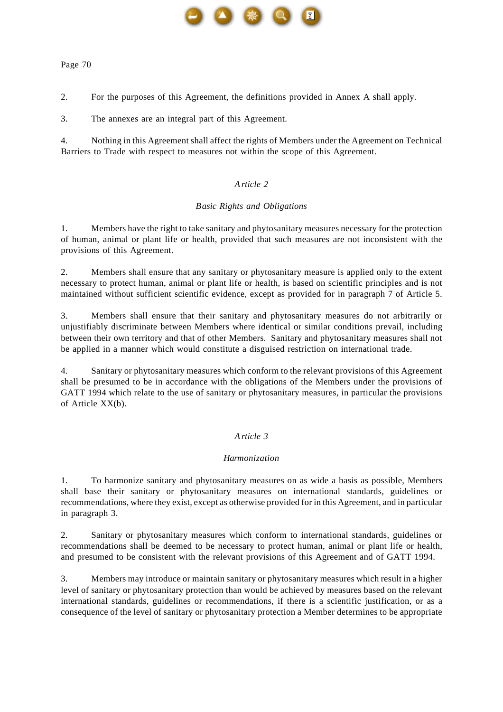

2. For the purposes of this Agreement, the definitions provided in Annex A shall apply.

3. The annexes are an integral part of this Agreement.

4. Nothing in this Agreement shall affect the rights of Members under the Agreement on Technical Barriers to Trade with respect to measures not within the scope of this Agreement.

# *Article 2*

## *Basic Rights and Obligations*

1. Members have the right to take sanitary and phytosanitary measures necessary for the protection of human, animal or plant life or health, provided that such measures are not inconsistent with the provisions of this Agreement.

2. Members shall ensure that any sanitary or phytosanitary measure is applied only to the extent necessary to protect human, animal or plant life or health, is based on scientific principles and is not maintained without sufficient scientific evidence, except as provided for in paragraph 7 of Article 5.

3. Members shall ensure that their sanitary and phytosanitary measures do not arbitrarily or unjustifiably discriminate between Members where identical or similar conditions prevail, including between their own territory and that of other Members. Sanitary and phytosanitary measures shall not be applied in a manner which would constitute a disguised restriction on international trade.

4. Sanitary or phytosanitary measures which conform to the relevant provisions of this Agreement shall be presumed to be in accordance with the obligations of the Members under the provisions of GATT 1994 which relate to the use of sanitary or phytosanitary measures, in particular the provisions of Article XX(b).

# *Article 3*

## *Harmonization*

1. To harmonize sanitary and phytosanitary measures on as wide a basis as possible, Members shall base their sanitary or phytosanitary measures on international standards, guidelines or recommendations, where they exist, except as otherwise provided for in this Agreement, and in particular in paragraph 3.

2. Sanitary or phytosanitary measures which conform to international standards, guidelines or recommendations shall be deemed to be necessary to protect human, animal or plant life or health, and presumed to be consistent with the relevant provisions of this Agreement and of GATT 1994.

3. Members may introduce or maintain sanitary or phytosanitary measures which result in a higher level of sanitary or phytosanitary protection than would be achieved by measures based on the relevant international standards, guidelines or recommendations, if there is a scientific justification, or as a consequence of the level of sanitary or phytosanitary protection a Member determines to be appropriate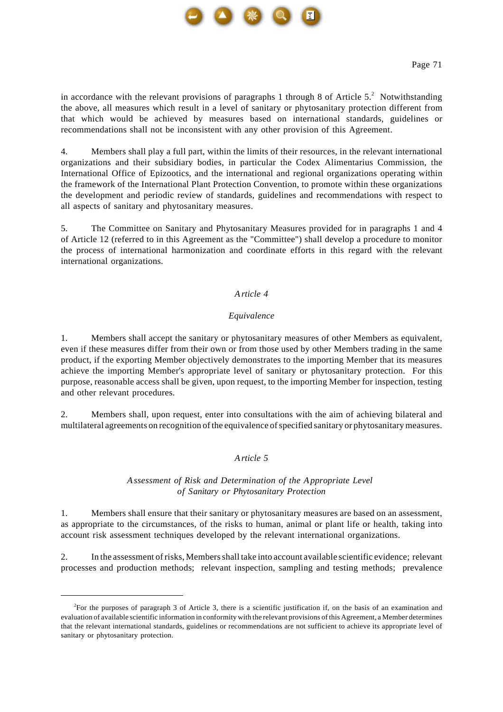

in accordance with the relevant provisions of paragraphs 1 through 8 of Article 5. $^2$  Notwithstanding the above, all measures which result in a level of sanitary or phytosanitary protection different from that which would be achieved by measures based on international standards, guidelines or recommendations shall not be inconsistent with any other provision of this Agreement.

4. Members shall play a full part, within the limits of their resources, in the relevant international organizations and their subsidiary bodies, in particular the Codex Alimentarius Commission, the International Office of Epizootics, and the international and regional organizations operating within the framework of the International Plant Protection Convention, to promote within these organizations the development and periodic review of standards, guidelines and recommendations with respect to all aspects of sanitary and phytosanitary measures.

5. The Committee on Sanitary and Phytosanitary Measures provided for in paragraphs 1 and 4 of Article 12 (referred to in this Agreement as the "Committee") shall develop a procedure to monitor the process of international harmonization and coordinate efforts in this regard with the relevant international organizations.

### *Article 4*

### *Equivalence*

1. Members shall accept the sanitary or phytosanitary measures of other Members as equivalent, even if these measures differ from their own or from those used by other Members trading in the same product, if the exporting Member objectively demonstrates to the importing Member that its measures achieve the importing Member's appropriate level of sanitary or phytosanitary protection. For this purpose, reasonable access shall be given, upon request, to the importing Member for inspection, testing and other relevant procedures.

2. Members shall, upon request, enter into consultations with the aim of achieving bilateral and multilateral agreements on recognition of the equivalence of specified sanitary or phytosanitary measures.

# *Article 5*

## *Assessment of Risk and Determination of the Appropriate Level of Sanitary or Phytosanitary Protection*

1. Members shall ensure that their sanitary or phytosanitary measures are based on an assessment, as appropriate to the circumstances, of the risks to human, animal or plant life or health, taking into account risk assessment techniques developed by the relevant international organizations.

2. In the assessment of risks, Members shall take into account available scientific evidence; relevant processes and production methods; relevant inspection, sampling and testing methods; prevalence

 $\overline{a}$ 

<sup>&</sup>lt;sup>2</sup>For the purposes of paragraph 3 of Article 3, there is a scientific justification if, on the basis of an examination and evaluation of available scientific information in conformity with the relevant provisions of this Agreement, a Member determines that the relevant international standards, guidelines or recommendations are not sufficient to achieve its appropriate level of sanitary or phytosanitary protection.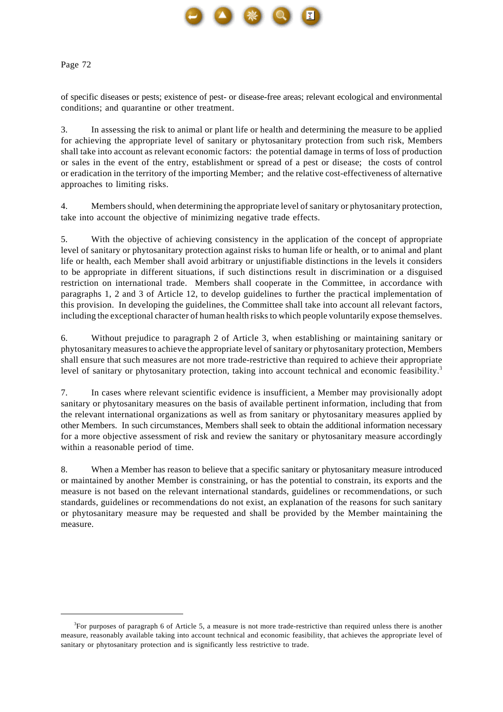

 $\overline{a}$ 

of specific diseases or pests; existence of pest- or disease-free areas; relevant ecological and environmental conditions; and quarantine or other treatment.

3. In assessing the risk to animal or plant life or health and determining the measure to be applied for achieving the appropriate level of sanitary or phytosanitary protection from such risk, Members shall take into account as relevant economic factors: the potential damage in terms of loss of production or sales in the event of the entry, establishment or spread of a pest or disease; the costs of control or eradication in the territory of the importing Member; and the relative cost-effectiveness of alternative approaches to limiting risks.

4. Members should, when determining the appropriate level of sanitary or phytosanitary protection, take into account the objective of minimizing negative trade effects.

5. With the objective of achieving consistency in the application of the concept of appropriate level of sanitary or phytosanitary protection against risks to human life or health, or to animal and plant life or health, each Member shall avoid arbitrary or unjustifiable distinctions in the levels it considers to be appropriate in different situations, if such distinctions result in discrimination or a disguised restriction on international trade. Members shall cooperate in the Committee, in accordance with paragraphs 1, 2 and 3 of Article 12, to develop guidelines to further the practical implementation of this provision. In developing the guidelines, the Committee shall take into account all relevant factors, including the exceptional character of human health risks to which people voluntarily expose themselves.

6. Without prejudice to paragraph 2 of Article 3, when establishing or maintaining sanitary or phytosanitary measures to achieve the appropriate level of sanitary or phytosanitary protection, Members shall ensure that such measures are not more trade-restrictive than required to achieve their appropriate level of sanitary or phytosanitary protection, taking into account technical and economic feasibility.<sup>3</sup>

7. In cases where relevant scientific evidence is insufficient, a Member may provisionally adopt sanitary or phytosanitary measures on the basis of available pertinent information, including that from the relevant international organizations as well as from sanitary or phytosanitary measures applied by other Members. In such circumstances, Members shall seek to obtain the additional information necessary for a more objective assessment of risk and review the sanitary or phytosanitary measure accordingly within a reasonable period of time.

8. When a Member has reason to believe that a specific sanitary or phytosanitary measure introduced or maintained by another Member is constraining, or has the potential to constrain, its exports and the measure is not based on the relevant international standards, guidelines or recommendations, or such standards, guidelines or recommendations do not exist, an explanation of the reasons for such sanitary or phytosanitary measure may be requested and shall be provided by the Member maintaining the measure.

<sup>&</sup>lt;sup>3</sup>For purposes of paragraph 6 of Article 5, a measure is not more trade-restrictive than required unless there is another measure, reasonably available taking into account technical and economic feasibility, that achieves the appropriate level of sanitary or phytosanitary protection and is significantly less restrictive to trade.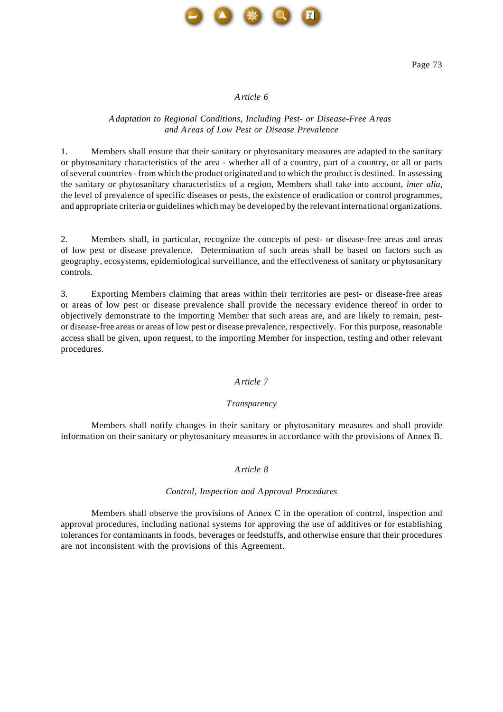

#### *Article 6*

### *Adaptation to Regional Conditions, Including Pest- or Disease-Free Areas and Areas of Low Pest or Disease Prevalence*

1. Members shall ensure that their sanitary or phytosanitary measures are adapted to the sanitary or phytosanitary characteristics of the area - whether all of a country, part of a country, or all or parts of several countries - from which the product originated and to which the product is destined. In assessing the sanitary or phytosanitary characteristics of a region, Members shall take into account, *inter alia*, the level of prevalence of specific diseases or pests, the existence of eradication or control programmes, and appropriate criteria or guidelines which may be developed by the relevant international organizations.

2. Members shall, in particular, recognize the concepts of pest- or disease-free areas and areas of low pest or disease prevalence. Determination of such areas shall be based on factors such as geography, ecosystems, epidemiological surveillance, and the effectiveness of sanitary or phytosanitary controls.

3. Exporting Members claiming that areas within their territories are pest- or disease-free areas or areas of low pest or disease prevalence shall provide the necessary evidence thereof in order to objectively demonstrate to the importing Member that such areas are, and are likely to remain, pestor disease-free areas or areas of low pest or disease prevalence, respectively. For this purpose, reasonable access shall be given, upon request, to the importing Member for inspection, testing and other relevant procedures.

### *Article 7*

### *Transparency*

Members shall notify changes in their sanitary or phytosanitary measures and shall provide information on their sanitary or phytosanitary measures in accordance with the provisions of Annex B.

### *Article 8*

#### *Control, Inspection and Approval Procedures*

Members shall observe the provisions of Annex C in the operation of control, inspection and approval procedures, including national systems for approving the use of additives or for establishing tolerances for contaminants in foods, beverages or feedstuffs, and otherwise ensure that their procedures are not inconsistent with the provisions of this Agreement.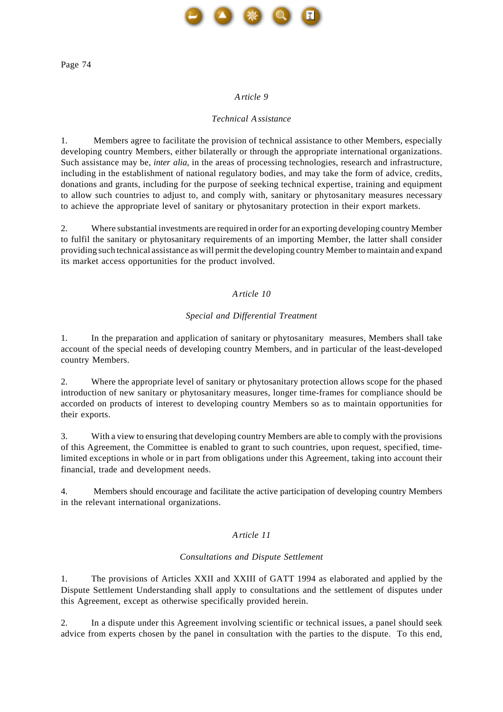

## *Article 9*

## *Technical Assistance*

1. Members agree to facilitate the provision of technical assistance to other Members, especially developing country Members, either bilaterally or through the appropriate international organizations. Such assistance may be, *inter alia*, in the areas of processing technologies, research and infrastructure, including in the establishment of national regulatory bodies, and may take the form of advice, credits, donations and grants, including for the purpose of seeking technical expertise, training and equipment to allow such countries to adjust to, and comply with, sanitary or phytosanitary measures necessary to achieve the appropriate level of sanitary or phytosanitary protection in their export markets.

2. Where substantial investments are required in order for an exporting developing country Member to fulfil the sanitary or phytosanitary requirements of an importing Member, the latter shall consider providing such technical assistance as will permit the developing country Member to maintain and expand its market access opportunities for the product involved.

## *Article 10*

## *Special and Differential Treatment*

1. In the preparation and application of sanitary or phytosanitary measures, Members shall take account of the special needs of developing country Members, and in particular of the least-developed country Members.

2. Where the appropriate level of sanitary or phytosanitary protection allows scope for the phased introduction of new sanitary or phytosanitary measures, longer time-frames for compliance should be accorded on products of interest to developing country Members so as to maintain opportunities for their exports.

3. With a view to ensuring that developing country Members are able to comply with the provisions of this Agreement, the Committee is enabled to grant to such countries, upon request, specified, timelimited exceptions in whole or in part from obligations under this Agreement, taking into account their financial, trade and development needs.

4. Members should encourage and facilitate the active participation of developing country Members in the relevant international organizations.

# *Article 11*

## *Consultations and Dispute Settlement*

1. The provisions of Articles XXII and XXIII of GATT 1994 as elaborated and applied by the Dispute Settlement Understanding shall apply to consultations and the settlement of disputes under this Agreement, except as otherwise specifically provided herein.

2. In a dispute under this Agreement involving scientific or technical issues, a panel should seek advice from experts chosen by the panel in consultation with the parties to the dispute. To this end,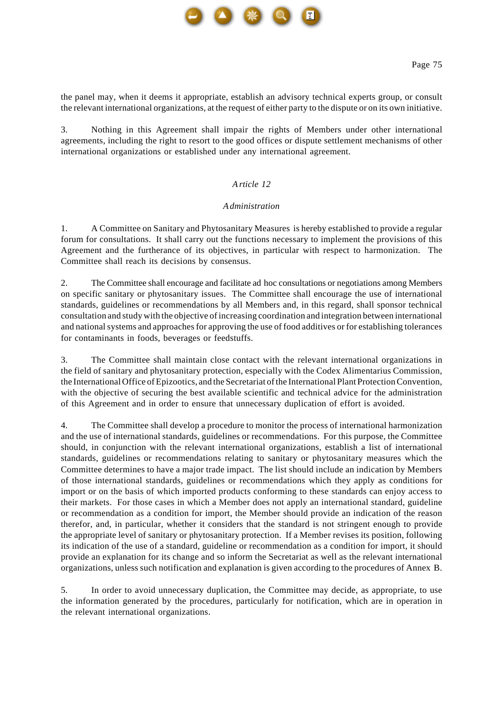

the panel may, when it deems it appropriate, establish an advisory technical experts group, or consult the relevant international organizations, at the request of either party to the dispute or on its own initiative.

3. Nothing in this Agreement shall impair the rights of Members under other international agreements, including the right to resort to the good offices or dispute settlement mechanisms of other international organizations or established under any international agreement.

## *Article 12*

### *Administration*

1. A Committee on Sanitary and Phytosanitary Measures is hereby established to provide a regular forum for consultations. It shall carry out the functions necessary to implement the provisions of this Agreement and the furtherance of its objectives, in particular with respect to harmonization. The Committee shall reach its decisions by consensus.

2. The Committee shall encourage and facilitate ad hoc consultations or negotiations among Members on specific sanitary or phytosanitary issues. The Committee shall encourage the use of international standards, guidelines or recommendations by all Members and, in this regard, shall sponsor technical consultation and study with the objective of increasing coordination and integration between international and national systems and approaches for approving the use of food additives or for establishing tolerances for contaminants in foods, beverages or feedstuffs.

3. The Committee shall maintain close contact with the relevant international organizations in the field of sanitary and phytosanitary protection, especially with the Codex Alimentarius Commission, the International Office of Epizootics, and the Secretariat of the International Plant Protection Convention, with the objective of securing the best available scientific and technical advice for the administration of this Agreement and in order to ensure that unnecessary duplication of effort is avoided.

4. The Committee shall develop a procedure to monitor the process of international harmonization and the use of international standards, guidelines or recommendations. For this purpose, the Committee should, in conjunction with the relevant international organizations, establish a list of international standards, guidelines or recommendations relating to sanitary or phytosanitary measures which the Committee determines to have a major trade impact. The list should include an indication by Members of those international standards, guidelines or recommendations which they apply as conditions for import or on the basis of which imported products conforming to these standards can enjoy access to their markets. For those cases in which a Member does not apply an international standard, guideline or recommendation as a condition for import, the Member should provide an indication of the reason therefor, and, in particular, whether it considers that the standard is not stringent enough to provide the appropriate level of sanitary or phytosanitary protection. If a Member revises its position, following its indication of the use of a standard, guideline or recommendation as a condition for import, it should provide an explanation for its change and so inform the Secretariat as well as the relevant international organizations, unless such notification and explanation is given according to the procedures of Annex B.

5. In order to avoid unnecessary duplication, the Committee may decide, as appropriate, to use the information generated by the procedures, particularly for notification, which are in operation in the relevant international organizations.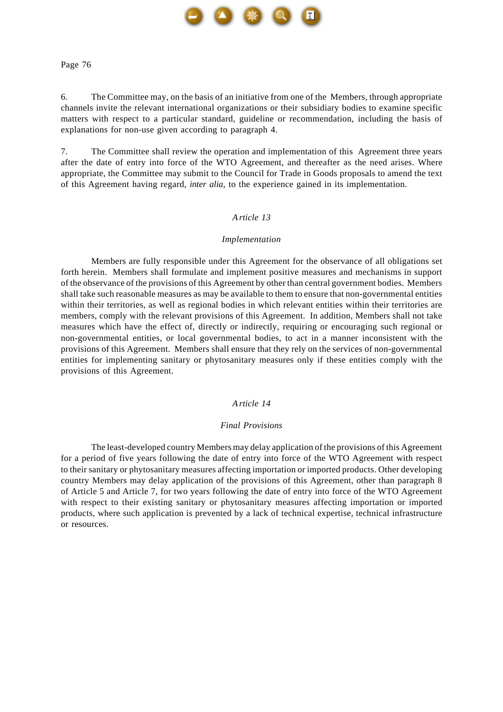

6. The Committee may, on the basis of an initiative from one of the Members, through appropriate channels invite the relevant international organizations or their subsidiary bodies to examine specific matters with respect to a particular standard, guideline or recommendation, including the basis of explanations for non-use given according to paragraph 4.

7. The Committee shall review the operation and implementation of this Agreement three years after the date of entry into force of the WTO Agreement, and thereafter as the need arises. Where appropriate, the Committee may submit to the Council for Trade in Goods proposals to amend the text of this Agreement having regard, *inter alia*, to the experience gained in its implementation.

### *Article 13*

### *Implementation*

Members are fully responsible under this Agreement for the observance of all obligations set forth herein. Members shall formulate and implement positive measures and mechanisms in support of the observance of the provisions of this Agreement by other than central government bodies. Members shall take such reasonable measures as may be available to them to ensure that non-governmental entities within their territories, as well as regional bodies in which relevant entities within their territories are members, comply with the relevant provisions of this Agreement. In addition, Members shall not take measures which have the effect of, directly or indirectly, requiring or encouraging such regional or non-governmental entities, or local governmental bodies, to act in a manner inconsistent with the provisions of this Agreement. Members shall ensure that they rely on the services of non-governmental entities for implementing sanitary or phytosanitary measures only if these entities comply with the provisions of this Agreement.

## *Article 14*

### *Final Provisions*

The least-developed country Members may delay application of the provisions of this Agreement for a period of five years following the date of entry into force of the WTO Agreement with respect to their sanitary or phytosanitary measures affecting importation or imported products. Other developing country Members may delay application of the provisions of this Agreement, other than paragraph 8 of Article 5 and Article 7, for two years following the date of entry into force of the WTO Agreement with respect to their existing sanitary or phytosanitary measures affecting importation or imported products, where such application is prevented by a lack of technical expertise, technical infrastructure or resources.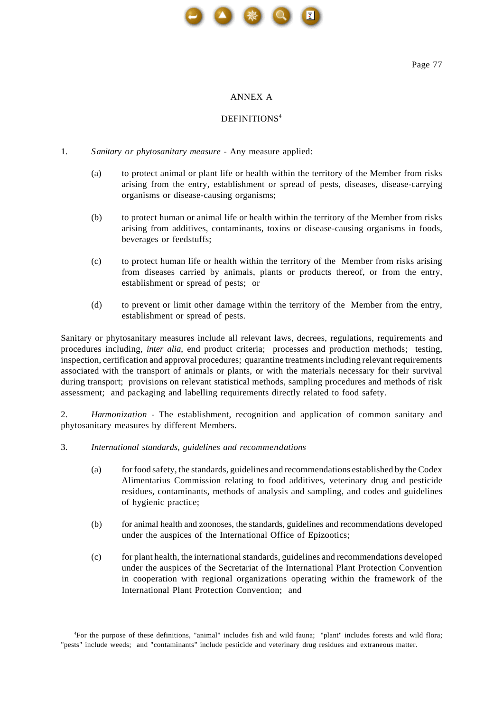

### ANNEX A

## DEFINITIONS<sup>4</sup>

- 1. *Sanitary or phytosanitary measure*  Any measure applied:
	- (a) to protect animal or plant life or health within the territory of the Member from risks arising from the entry, establishment or spread of pests, diseases, disease-carrying organisms or disease-causing organisms;
	- (b) to protect human or animal life or health within the territory of the Member from risks arising from additives, contaminants, toxins or disease-causing organisms in foods, beverages or feedstuffs;
	- (c) to protect human life or health within the territory of the Member from risks arising from diseases carried by animals, plants or products thereof, or from the entry, establishment or spread of pests; or
	- (d) to prevent or limit other damage within the territory of the Member from the entry, establishment or spread of pests.

Sanitary or phytosanitary measures include all relevant laws, decrees, regulations, requirements and procedures including, *inter alia*, end product criteria; processes and production methods; testing, inspection, certification and approval procedures; quarantine treatments including relevant requirements associated with the transport of animals or plants, or with the materials necessary for their survival during transport; provisions on relevant statistical methods, sampling procedures and methods of risk assessment; and packaging and labelling requirements directly related to food safety.

2. *Harmonization* - The establishment, recognition and application of common sanitary and phytosanitary measures by different Members.

3. *International standards, guidelines and recommendations*

 $\overline{a}$ 

- (a) for food safety, the standards, guidelines and recommendations established by the Codex Alimentarius Commission relating to food additives, veterinary drug and pesticide residues, contaminants, methods of analysis and sampling, and codes and guidelines of hygienic practice;
- (b) for animal health and zoonoses, the standards, guidelines and recommendations developed under the auspices of the International Office of Epizootics;
- (c) for plant health, the international standards, guidelines and recommendations developed under the auspices of the Secretariat of the International Plant Protection Convention in cooperation with regional organizations operating within the framework of the International Plant Protection Convention; and

<sup>4</sup>For the purpose of these definitions, "animal" includes fish and wild fauna; "plant" includes forests and wild flora; "pests" include weeds; and "contaminants" include pesticide and veterinary drug residues and extraneous matter.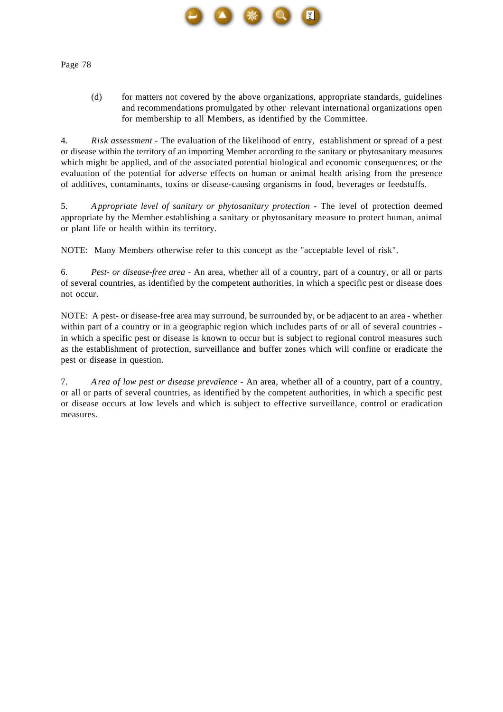

(d) for matters not covered by the above organizations, appropriate standards, guidelines and recommendations promulgated by other relevant international organizations open for membership to all Members, as identified by the Committee.

4. *Risk assessment* - The evaluation of the likelihood of entry, establishment or spread of a pest or disease within the territory of an importing Member according to the sanitary or phytosanitary measures which might be applied, and of the associated potential biological and economic consequences; or the evaluation of the potential for adverse effects on human or animal health arising from the presence of additives, contaminants, toxins or disease-causing organisms in food, beverages or feedstuffs.

5. *Appropriate level of sanitary or phytosanitary protection* - The level of protection deemed appropriate by the Member establishing a sanitary or phytosanitary measure to protect human, animal or plant life or health within its territory.

NOTE: Many Members otherwise refer to this concept as the "acceptable level of risk".

6. *Pest- or disease-free area* - An area, whether all of a country, part of a country, or all or parts of several countries, as identified by the competent authorities, in which a specific pest or disease does not occur.

NOTE: A pest- or disease-free area may surround, be surrounded by, or be adjacent to an area - whether within part of a country or in a geographic region which includes parts of or all of several countries in which a specific pest or disease is known to occur but is subject to regional control measures such as the establishment of protection, surveillance and buffer zones which will confine or eradicate the pest or disease in question.

7. *Area of low pest or disease prevalence* - An area, whether all of a country, part of a country, or all or parts of several countries, as identified by the competent authorities, in which a specific pest or disease occurs at low levels and which is subject to effective surveillance, control or eradication measures.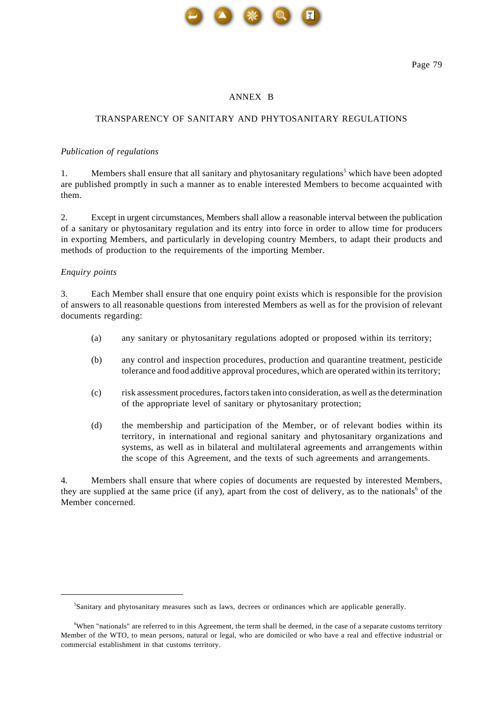

### ANNEX B

### TRANSPARENCY OF SANITARY AND PHYTOSANITARY REGULATIONS

### *Publication of regulations*

1. Members shall ensure that all sanitary and phytosanitary regulations<sup>5</sup> which have been adopted are published promptly in such a manner as to enable interested Members to become acquainted with them.

2. Except in urgent circumstances, Members shall allow a reasonable interval between the publication of a sanitary or phytosanitary regulation and its entry into force in order to allow time for producers in exporting Members, and particularly in developing country Members, to adapt their products and methods of production to the requirements of the importing Member.

### *Enquiry points*

 $\overline{a}$ 

3. Each Member shall ensure that one enquiry point exists which is responsible for the provision of answers to all reasonable questions from interested Members as well as for the provision of relevant documents regarding:

- (a) any sanitary or phytosanitary regulations adopted or proposed within its territory;
- (b) any control and inspection procedures, production and quarantine treatment, pesticide tolerance and food additive approval procedures, which are operated within its territory;
- (c) risk assessment procedures, factors taken into consideration, as well as the determination of the appropriate level of sanitary or phytosanitary protection;
- (d) the membership and participation of the Member, or of relevant bodies within its territory, in international and regional sanitary and phytosanitary organizations and systems, as well as in bilateral and multilateral agreements and arrangements within the scope of this Agreement, and the texts of such agreements and arrangements.

4. Members shall ensure that where copies of documents are requested by interested Members, they are supplied at the same price (if any), apart from the cost of delivery, as to the nationals<sup>6</sup> of the Member concerned.

<sup>5</sup> Sanitary and phytosanitary measures such as laws, decrees or ordinances which are applicable generally.

<sup>6</sup>When "nationals" are referred to in this Agreement, the term shall be deemed, in the case of a separate customs territory Member of the WTO, to mean persons, natural or legal, who are domiciled or who have a real and effective industrial or commercial establishment in that customs territory.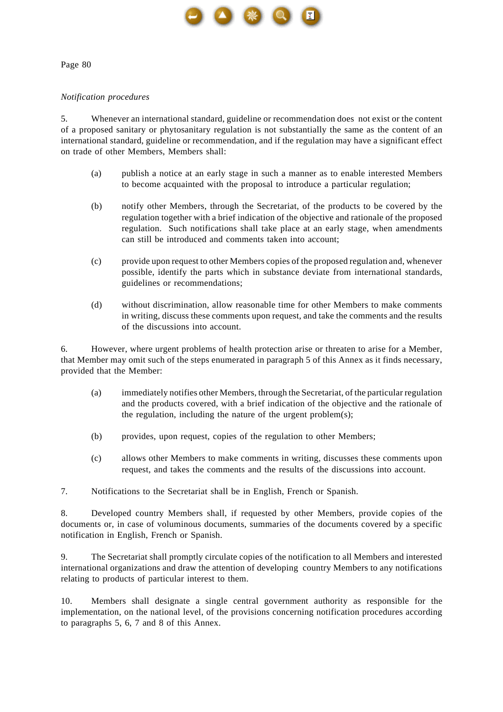

## *Notification procedures*

5. Whenever an international standard, guideline or recommendation does not exist or the content of a proposed sanitary or phytosanitary regulation is not substantially the same as the content of an international standard, guideline or recommendation, and if the regulation may have a significant effect on trade of other Members, Members shall:

- (a) publish a notice at an early stage in such a manner as to enable interested Members to become acquainted with the proposal to introduce a particular regulation;
- (b) notify other Members, through the Secretariat, of the products to be covered by the regulation together with a brief indication of the objective and rationale of the proposed regulation. Such notifications shall take place at an early stage, when amendments can still be introduced and comments taken into account;
- (c) provide upon request to other Members copies of the proposed regulation and, whenever possible, identify the parts which in substance deviate from international standards, guidelines or recommendations;
- (d) without discrimination, allow reasonable time for other Members to make comments in writing, discuss these comments upon request, and take the comments and the results of the discussions into account.

6. However, where urgent problems of health protection arise or threaten to arise for a Member, that Member may omit such of the steps enumerated in paragraph 5 of this Annex as it finds necessary, provided that the Member:

- (a) immediately notifies other Members, through the Secretariat, of the particular regulation and the products covered, with a brief indication of the objective and the rationale of the regulation, including the nature of the urgent problem(s);
- (b) provides, upon request, copies of the regulation to other Members;
- (c) allows other Members to make comments in writing, discusses these comments upon request, and takes the comments and the results of the discussions into account.
- 7. Notifications to the Secretariat shall be in English, French or Spanish.

8. Developed country Members shall, if requested by other Members, provide copies of the documents or, in case of voluminous documents, summaries of the documents covered by a specific notification in English, French or Spanish.

9. The Secretariat shall promptly circulate copies of the notification to all Members and interested international organizations and draw the attention of developing country Members to any notifications relating to products of particular interest to them.

10. Members shall designate a single central government authority as responsible for the implementation, on the national level, of the provisions concerning notification procedures according to paragraphs 5, 6, 7 and 8 of this Annex.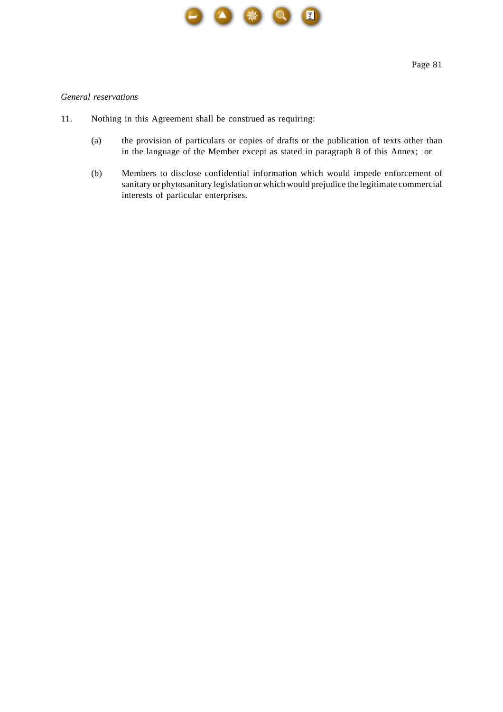

### *General reservations*

- 11. Nothing in this Agreement shall be construed as requiring:
	- (a) the provision of particulars or copies of drafts or the publication of texts other than in the language of the Member except as stated in paragraph 8 of this Annex; or
	- (b) Members to disclose confidential information which would impede enforcement of sanitary or phytosanitary legislation or which would prejudice the legitimate commercial interests of particular enterprises.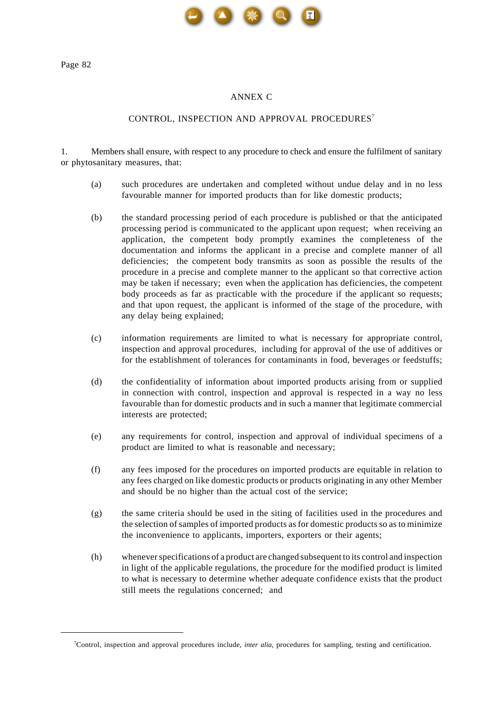

 $\overline{a}$ 

## ANNEX C

### CONTROL, INSPECTION AND APPROVAL PROCEDURES<sup>7</sup>

1. Members shall ensure, with respect to any procedure to check and ensure the fulfilment of sanitary or phytosanitary measures, that:

- (a) such procedures are undertaken and completed without undue delay and in no less favourable manner for imported products than for like domestic products;
- (b) the standard processing period of each procedure is published or that the anticipated processing period is communicated to the applicant upon request; when receiving an application, the competent body promptly examines the completeness of the documentation and informs the applicant in a precise and complete manner of all deficiencies; the competent body transmits as soon as possible the results of the procedure in a precise and complete manner to the applicant so that corrective action may be taken if necessary; even when the application has deficiencies, the competent body proceeds as far as practicable with the procedure if the applicant so requests; and that upon request, the applicant is informed of the stage of the procedure, with any delay being explained;
- (c) information requirements are limited to what is necessary for appropriate control, inspection and approval procedures, including for approval of the use of additives or for the establishment of tolerances for contaminants in food, beverages or feedstuffs;
- (d) the confidentiality of information about imported products arising from or supplied in connection with control, inspection and approval is respected in a way no less favourable than for domestic products and in such a manner that legitimate commercial interests are protected;
- (e) any requirements for control, inspection and approval of individual specimens of a product are limited to what is reasonable and necessary;
- (f) any fees imposed for the procedures on imported products are equitable in relation to any fees charged on like domestic products or products originating in any other Member and should be no higher than the actual cost of the service;
- (g) the same criteria should be used in the siting of facilities used in the procedures and the selection of samples of imported products as for domestic products so as to minimize the inconvenience to applicants, importers, exporters or their agents;
- (h) whenever specifications of a product are changed subsequent to its control and inspection in light of the applicable regulations, the procedure for the modified product is limited to what is necessary to determine whether adequate confidence exists that the product still meets the regulations concerned; and

<sup>7</sup>Control, inspection and approval procedures include, *inter alia*, procedures for sampling, testing and certification.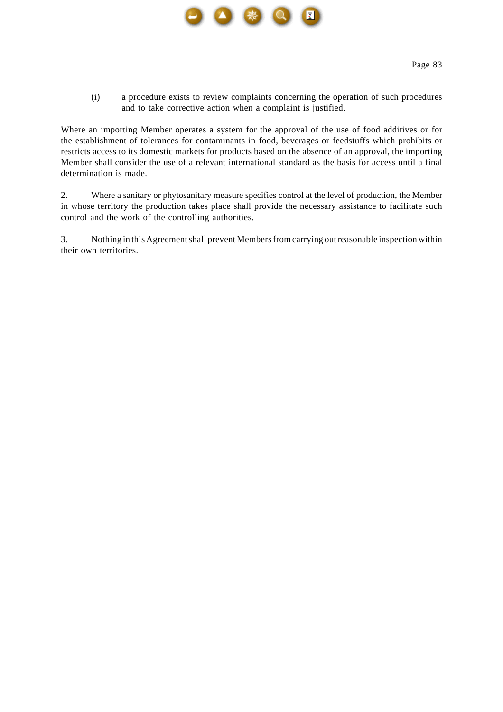

(i) a procedure exists to review complaints concerning the operation of such procedures and to take corrective action when a complaint is justified.

Where an importing Member operates a system for the approval of the use of food additives or for the establishment of tolerances for contaminants in food, beverages or feedstuffs which prohibits or restricts access to its domestic markets for products based on the absence of an approval, the importing Member shall consider the use of a relevant international standard as the basis for access until a final determination is made.

2. Where a sanitary or phytosanitary measure specifies control at the level of production, the Member in whose territory the production takes place shall provide the necessary assistance to facilitate such control and the work of the controlling authorities.

3. Nothing in this Agreement shall prevent Members from carrying out reasonable inspection within their own territories.